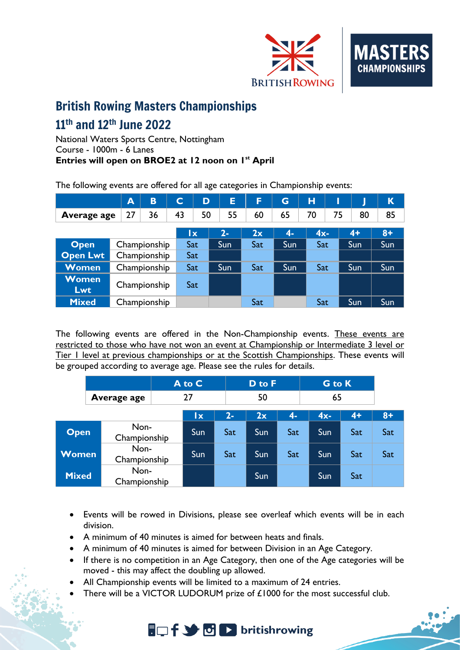

## British Rowing Masters Championships

# $11^{\text{th}}$  and  $12^{\text{th}}$  June 2022

National Waters Sports Centre, Nottingham Course - 1000m - 6 Lanes **Entries will open on BROE2 at 12 noon on 1st April**

The following events are offered for all age categories in Championship events:

|                            | A            | B  | C   | D   |       | E  | F   | G    | н      |    |      | K    |
|----------------------------|--------------|----|-----|-----|-------|----|-----|------|--------|----|------|------|
| Average age                | 27           | 36 | 43  | 50  |       | 55 | 60  | 65   | 70     | 75 | 80   | 85   |
|                            |              |    |     | lx. | $2 -$ |    | 2x  | $4-$ | $4x -$ |    | $4+$ | $8+$ |
| <b>Open</b>                | Championship |    | Sat |     | Sun   |    | Sat | Sun  | Sat    |    | Sun  | Sun  |
| <b>Open Lwt</b>            | Championship |    | Sat |     |       |    |     |      |        |    |      |      |
| <b>Women</b>               | Championship |    | Sat |     | Sun   |    | Sat | Sun  | Sat    |    | Sun  | Sun  |
| <b>Women</b><br><b>Lwt</b> | Championship |    | Sat |     |       |    |     |      |        |    |      |      |
| <b>Mixed</b>               | Championship |    |     |     |       |    | Sat |      | Sat    |    | Sun  | Sun  |

The following events are offered in the Non-Championship events. These events are restricted to those who have not won an event at Championship or Intermediate 3 level or Tier I level at previous championships or at the Scottish Championships. These events will be grouped according to average age. Please see the rules for details.

|              |                      |  | A to C    |                  |     |      | <b>G</b> to K |      |      |
|--------------|----------------------|--|-----------|------------------|-----|------|---------------|------|------|
|              | Average age          |  | 27        |                  | 50  |      | 65            |      |      |
|              |                      |  | <u>lx</u> | $\overline{2}$ - | 2x  | $4-$ | $4x -$        | $4+$ | $8+$ |
| <b>Open</b>  | Non-<br>Championship |  | Sun       | Sat              | Sun | Sat  | Sun           | Sat  | Sat  |
| <b>Women</b> | Non-<br>Championship |  | Sun       | Sat              | Sun | Sat  | Sun           | Sat  | Sat  |
| <b>Mixed</b> | Non-<br>Championship |  |           |                  | Sun |      | Sun           | Sat  |      |

- Events will be rowed in Divisions, please see overleaf which events will be in each division.
- A minimum of 40 minutes is aimed for between heats and finals.
- A minimum of 40 minutes is aimed for between Division in an Age Category.
- If there is no competition in an Age Category, then one of the Age categories will be moved - this may affect the doubling up allowed.
- All Championship events will be limited to a maximum of 24 entries.
- There will be a VICTOR LUDORUM prize of  $£1000$  for the most successful club.

**A**<sub>D</sub> f St D D britishrowing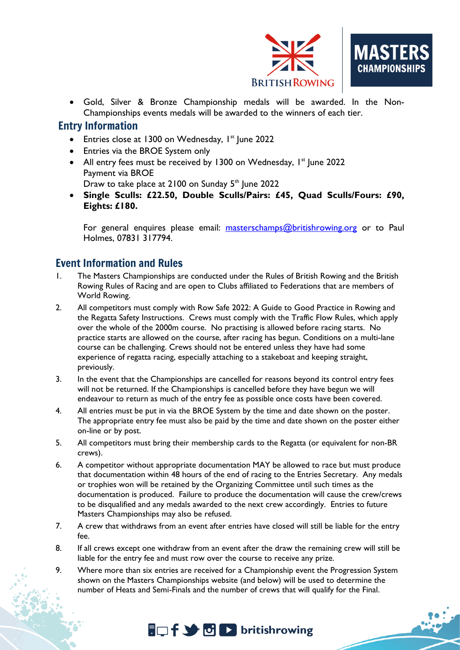

• Gold, Silver & Bronze Championship medals will be awarded. In the Non-Championships events medals will be awarded to the winners of each tier.

### Entry Information

- Entries close at 1300 on Wednesday, 1<sup>st</sup> June 2022
- Entries via the BROE System only
- All entry fees must be received by 1300 on Wednesday,  $1<sup>st</sup>$  June 2022 Payment via BROE Draw to take place at 2100 on Sunday 5<sup>th</sup> June 2022
- **Single Sculls: £22.50, Double Sculls/Pairs: £45, Quad Sculls/Fours: £90, Eights: £180.**

For general enquires please email: [masterschamps@britishrowing.org](mailto:masterschamps@britishrowing.org) or to Paul Holmes, 07831 317794.

## Event Information and Rules

- 1. The Masters Championships are conducted under the Rules of British Rowing and the British Rowing Rules of Racing and are open to Clubs affiliated to Federations that are members of World Rowing.
- 2. All competitors must comply with Row Safe 2022: A Guide to Good Practice in Rowing and the Regatta Safety Instructions. Crews must comply with the Traffic Flow Rules, which apply over the whole of the 2000m course. No practising is allowed before racing starts. No practice starts are allowed on the course, after racing has begun. Conditions on a multi-lane course can be challenging. Crews should not be entered unless they have had some experience of regatta racing, especially attaching to a stakeboat and keeping straight, previously.
- 3. In the event that the Championships are cancelled for reasons beyond its control entry fees will not be returned. If the Championships is cancelled before they have begun we will endeavour to return as much of the entry fee as possible once costs have been covered.
- 4. All entries must be put in via the BROE System by the time and date shown on the poster. The appropriate entry fee must also be paid by the time and date shown on the poster either on-line or by post.
- 5. All competitors must bring their membership cards to the Regatta (or equivalent for non-BR crews).
- 6. A competitor without appropriate documentation MAY be allowed to race but must produce that documentation within 48 hours of the end of racing to the Entries Secretary. Any medals or trophies won will be retained by the Organizing Committee until such times as the documentation is produced. Failure to produce the documentation will cause the crew/crews to be disqualified and any medals awarded to the next crew accordingly. Entries to future Masters Championships may also be refused.
- 7. A crew that withdraws from an event after entries have closed will still be liable for the entry fee.
- 8. If all crews except one withdraw from an event after the draw the remaining crew will still be liable for the entry fee and must row over the course to receive any prize.
- 9. Where more than six entries are received for a Championship event the Progression System shown on the Masters Championships website (and below) will be used to determine the number of Heats and Semi-Finals and the number of crews that will qualify for the Final.

# $\Box f \rightarrow \Box$  britishrowing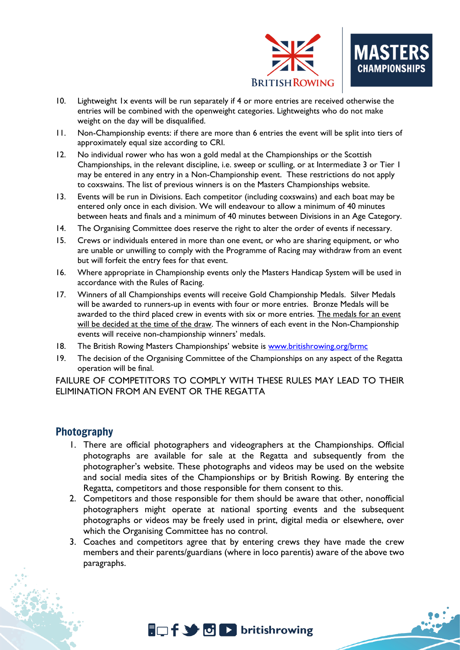

- 10. Lightweight 1x events will be run separately if 4 or more entries are received otherwise the entries will be combined with the openweight categories. Lightweights who do not make weight on the day will be disqualified.
- 11. Non-Championship events: if there are more than 6 entries the event will be split into tiers of approximately equal size according to CRI.
- 12. No individual rower who has won a gold medal at the Championships or the Scottish Championships, in the relevant discipline, i.e. sweep or sculling, or at Intermediate 3 or Tier 1 may be entered in any entry in a Non-Championship event. These restrictions do not apply to coxswains. The list of previous winners is on the Masters Championships website.
- 13. Events will be run in Divisions. Each competitor (including coxswains) and each boat may be entered only once in each division. We will endeavour to allow a minimum of 40 minutes between heats and finals and a minimum of 40 minutes between Divisions in an Age Category.
- 14. The Organising Committee does reserve the right to alter the order of events if necessary.
- 15. Crews or individuals entered in more than one event, or who are sharing equipment, or who are unable or unwilling to comply with the Programme of Racing may withdraw from an event but will forfeit the entry fees for that event.
- 16. Where appropriate in Championship events only the Masters Handicap System will be used in accordance with the Rules of Racing.
- 17. Winners of all Championships events will receive Gold Championship Medals. Silver Medals will be awarded to runners-up in events with four or more entries. Bronze Medals will be awarded to the third placed crew in events with six or more entries. The medals for an event will be decided at the time of the draw. The winners of each event in the Non-Championship events will receive non-championship winners' medals.
- 18. The British Rowing Masters Championships' website is [www.britishrowing.org/brmc](http://www.britishrowing.org/brmc)
- 19. The decision of the Organising Committee of the Championships on any aspect of the Regatta operation will be final.

FAILURE OF COMPETITORS TO COMPLY WITH THESE RULES MAY LEAD TO THEIR ELIMINATION FROM AN EVENT OR THE REGATTA

#### Photography

- 1. There are official photographers and videographers at the Championships. Official photographs are available for sale at the Regatta and subsequently from the photographer's website. These photographs and videos may be used on the website and social media sites of the Championships or by British Rowing. By entering the Regatta, competitors and those responsible for them consent to this.
- 2. Competitors and those responsible for them should be aware that other, nonofficial photographers might operate at national sporting events and the subsequent photographs or videos may be freely used in print, digital media or elsewhere, over which the Organising Committee has no control.
- 3. Coaches and competitors agree that by entering crews they have made the crew members and their parents/guardians (where in loco parentis) aware of the above two paragraphs.

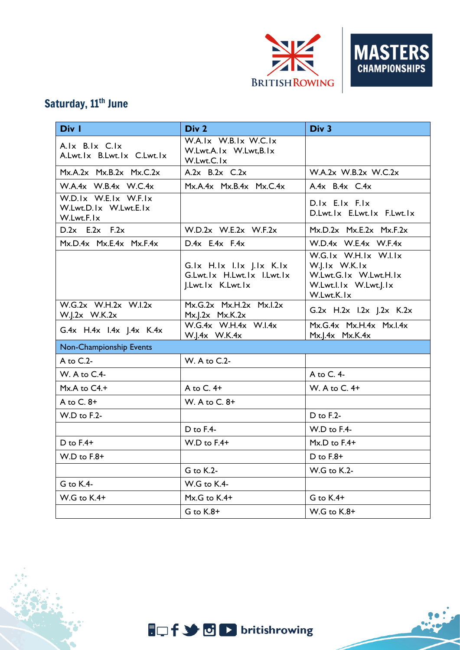

## Saturday, 11<sup>th</sup> June

| Div 1                                                       | Div 2                                                                       | Div 3                                                                                                 |  |  |  |  |
|-------------------------------------------------------------|-----------------------------------------------------------------------------|-------------------------------------------------------------------------------------------------------|--|--|--|--|
| A.Ix B.Ix C.Ix<br>A.Lwt.lx B.Lwt.lx C.Lwt.lx                | W.A.Ix W.B.Ix W.C.Ix<br>W.Lwt.A.Ix W.Lwt,B.Ix<br>W.Lwt.C.Ix                 |                                                                                                       |  |  |  |  |
| $Mx.A.2x$ $Mx.B.2x$ $Mx.C.2x$                               | A.2 $x$ B.2 $x$ C.2 $x$                                                     | W.A.2x W.B.2x W.C.2x                                                                                  |  |  |  |  |
| W.A.4x W.B.4x W.C.4x                                        | $Mx.A.4x$ $Mx.B.4x$ $Mx.C.4x$                                               | A.4 $x$ B.4 $x$ C.4 $x$                                                                               |  |  |  |  |
| W.D.Ix W.E.Ix W.F.Ix<br>W.Lwt.D.Ix W.Lwt.E.Ix<br>W.Lwt.F.Ix |                                                                             | $D.Ix$ $E.Ix$ $F.Ix$<br>D.Lwt.lx E.Lwt.lx F.Lwt.lx                                                    |  |  |  |  |
| $D.2x$ E.2x F.2x                                            | $W.D.2x$ W.E.2x W.F.2x                                                      | $Mx.D.2x$ $Mx.E.2x$ $Mx.F.2x$                                                                         |  |  |  |  |
| $Mx.D.4x$ $Mx.E.4x$ $Mx.F.4x$                               | $D.4x$ E.4x F.4x                                                            | $W.D.4x$ W.E.4x W.F.4x                                                                                |  |  |  |  |
|                                                             | G.lx H.lx I.lx J.lx K.lx<br>G.Lwt.lx H.Lwt.lx I.Lwt.lx<br>J.Lwt.lx K.Lwt.lx | W.G.Ix W.H.Ix W.I.Ix<br>W.J.Ix W.K.Ix<br>W.Lwt.G.Ix W.Lwt.H.Ix<br>W.Lwt.l.lx W.Lwt.J.lx<br>W.Lwt.K.Ix |  |  |  |  |
| $W.G.2x$ W.H.2x W.I.2x<br>$W.I.2x$ W.K.2x                   | $Mx.G.2x$ $Mx.H.2x$ $Mx.I.2x$<br>$Mx$ .J. $2x$ $Mx$ .K. $2x$                | G.2x H.2x I.2x J.2x K.2x                                                                              |  |  |  |  |
| G.4x H.4x I.4x J.4x K.4x                                    | W.G.4x W.H.4x W.I.4x<br>W.J.4x W.K.4x                                       | $Mx.G.4x$ $Mx.H.4x$ $Mx.I.4x$<br>$Mx$ .J. $4x$ $Mx$ .K. $4x$                                          |  |  |  |  |
| Non-Championship Events                                     |                                                                             |                                                                                                       |  |  |  |  |
| A to C.2-                                                   | W. A to C.2-                                                                |                                                                                                       |  |  |  |  |
| W. A to C.4-                                                |                                                                             | A to C. $4-$                                                                                          |  |  |  |  |
| Mx.A to C4.+                                                | A to $C.4+$                                                                 | W. A to C. 4+                                                                                         |  |  |  |  |
| A to $C. 8+$                                                | W. A to C. 8+                                                               |                                                                                                       |  |  |  |  |
| W.D to F.2-                                                 |                                                                             | $D$ to $F.2-$                                                                                         |  |  |  |  |
|                                                             | D to F.4-                                                                   | W.D to F.4-                                                                                           |  |  |  |  |
| $D$ to $F.4+$                                               | $W.D$ to $F.4+$                                                             | $Mx.D$ to $F.4+$                                                                                      |  |  |  |  |
| $W.D$ to $F.8+$                                             |                                                                             | D to $F.8+$                                                                                           |  |  |  |  |
|                                                             | $G$ to $K.2-$                                                               | W.G to K.2-                                                                                           |  |  |  |  |
| G to K.4-                                                   | W.G to K.4-                                                                 |                                                                                                       |  |  |  |  |
| $W.G$ to $K.4+$                                             | Mx.G to K.4+                                                                | $G$ to $K.4+$                                                                                         |  |  |  |  |
|                                                             | $G$ to $K.8+$                                                               | $W.G$ to $K.8+$                                                                                       |  |  |  |  |

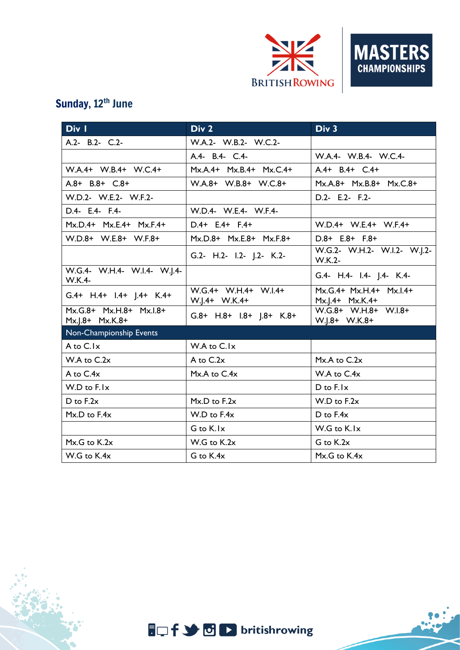

## Sunday, 12<sup>th</sup> June

| Div I                                        | Div 2                                 | Div 3                                      |
|----------------------------------------------|---------------------------------------|--------------------------------------------|
| A.2- B.2- C.2-                               | W.A.2- W.B.2- W.C.2-                  |                                            |
|                                              | A.4- B.4- C.4-                        | W.A.4- W.B.4- W.C.4-                       |
| W.A.4+ W.B.4+ W.C.4+                         | Mx.A.4+ Mx.B.4+ Mx.C.4+               | $A.4+ B.4+ C.4+$                           |
| A.8+ B.8+ C.8+                               | W.A.8+ W.B.8+ W.C.8+                  | Mx.A.8+ Mx.B.8+ Mx.C.8+                    |
| W.D.2- W.E.2- W.F.2-                         |                                       | D.2- E.2- F.2-                             |
| D.4- E.4- F.4-                               | W.D.4- W.E.4- W.F.4-                  |                                            |
| Mx.D.4+ Mx.E.4+ Mx.F.4+                      | $D.4+ E.4+ F.4+$                      | W.D.4+ W.E.4+ W.F.4+                       |
| W.D.8+ W.E.8+ W.F.8+                         | Mx.D.8+ Mx.E.8+ Mx.F.8+               | $D.8+ E.8+ F.8+$                           |
|                                              | G.2- H.2- I.2- J.2- K.2-              | W.G.2- W.H.2- W.I.2- W.J.2-<br>W.K.2-      |
| W.G.4- W.H.4- W.I.4- W.J.4-<br><b>W.K.4-</b> |                                       | G.4- H.4- I.4- J.4- K.4-                   |
| G.4+ H.4+ I.4+ J.4+ K.4+                     | W.G.4+ W.H.4+ W.I.4+<br>W.J.4+ W.K.4+ | Mx.G.4+ Mx.H.4+ Mx.I.4+<br>Mx.J.4+ Mx.K.4+ |
| Mx.G.8+ Mx.H.8+ Mx.I.8+<br>Mx.J.8+ Mx.K.8+   | $G.8+$ H.8+ I.8+ J.8+ K.8+            | W.G.8+ W.H.8+ W.I.8+<br>W.J.8+ W.K.8+      |
| Non-Championship Events                      |                                       |                                            |
| A to C.Ix                                    | W.A to C.Ix                           |                                            |
| $W.A$ to $C.2x$                              | A to C.2x                             | $Mx.A$ to $C.2x$                           |
| A to C.4x                                    | $Mx.A$ to $C.4x$                      | W.A to $C.4x$                              |
| $W.D$ to $F.Ix$                              |                                       | $D$ to $F$ . $\vert x \vert$               |
| $D$ to $F.2x$                                | $Mx.D$ to $F.2x$                      | $W.D$ to $F.2x$                            |
| Mx.D to F.4x                                 | W.D to F.4x                           | D to F.4x                                  |
|                                              | G to K.Ix                             | W.G to K.Ix                                |
| $Mx.G$ to $K.2x$                             | W.G to K.2x                           | G to K.2x                                  |
| W.G to K.4x                                  | G to K.4x                             | Mx.G to K.4x                               |